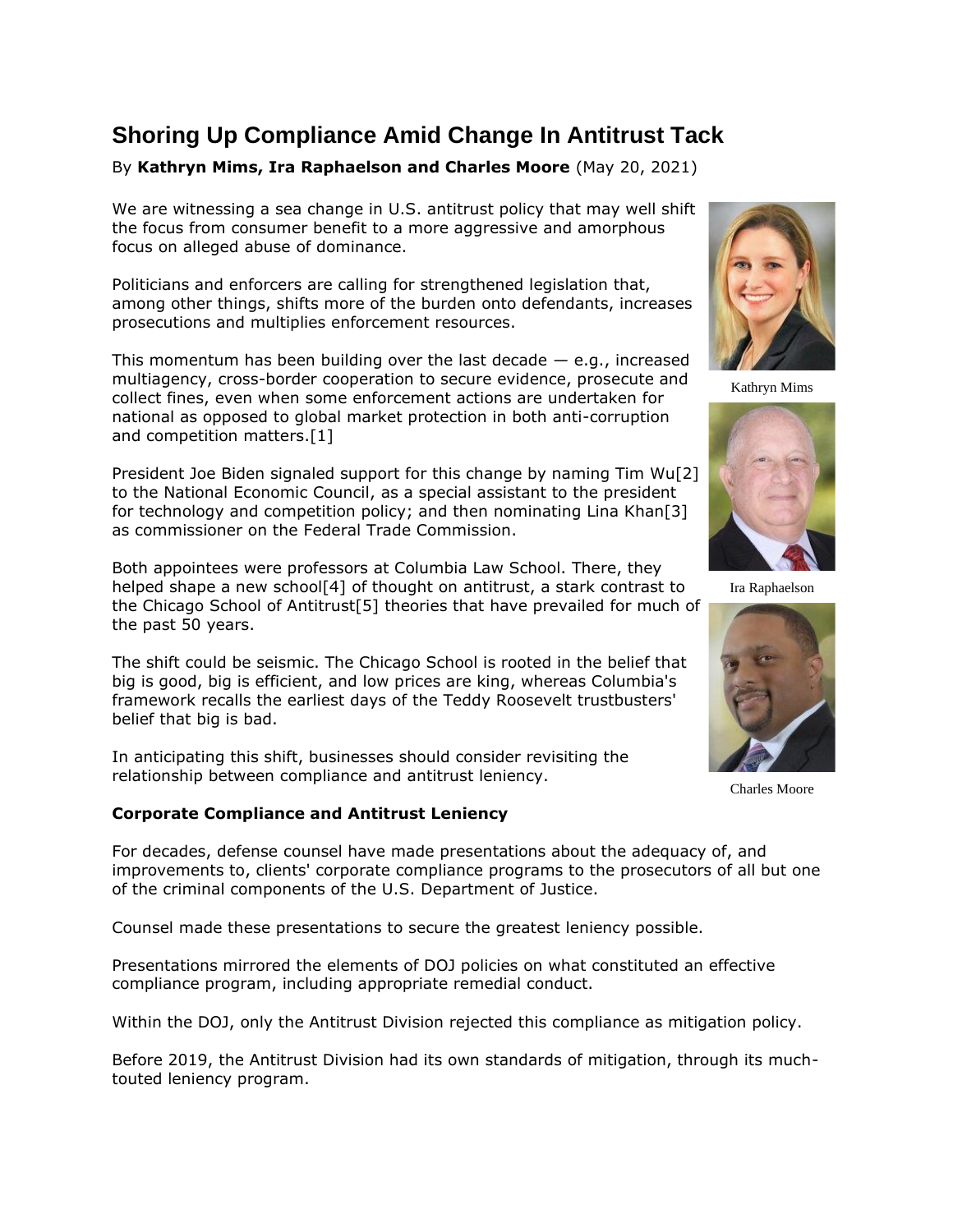# **Shoring Up Compliance Amid Change In Antitrust Tack**

By **Kathryn Mims, Ira Raphaelson and Charles Moore** (May 20, 2021)

We are witnessing a sea change in U.S. antitrust policy that may well shift the focus from consumer benefit to a more aggressive and amorphous focus on alleged abuse of dominance.

Politicians and enforcers are calling for strengthened legislation that, among other things, shifts more of the burden onto defendants, increases prosecutions and multiplies enforcement resources.

This momentum has been building over the last decade  $-$  e.g., increased multiagency, cross-border cooperation to secure evidence, prosecute and collect fines, even when some enforcement actions are undertaken for national as opposed to global market protection in both anti-corruption and competition matters.[1]

President Joe Biden signaled support for this change by naming Tim Wu[2] to the [National Economic Council,](https://www.law360.com/agencies/national-economic-council) as a special assistant to the president for technology and competition policy; and then nominating Lina Khan[3] as commissioner on the [Federal Trade Commission.](https://www.law360.com/agencies/federal-trade-commission)

Both appointees were professors at Columbia Law School. There, they helped shape a new school<sup>[4]</sup> of thought on antitrust, a stark contrast to the Chicago School of Antitrust[5] theories that have prevailed for much of the past 50 years.

The shift could be seismic. The Chicago School is rooted in the belief that big is good, big is efficient, and low prices are king, whereas Columbia's framework recalls the earliest days of the Teddy Roosevelt trustbusters' belief that big is bad.

In anticipating this shift, businesses should consider revisiting the relationship between compliance and antitrust leniency.

## **Corporate Compliance and Antitrust Leniency**

For decades, defense counsel have made presentations about the adequacy of, and improvements to, clients' corporate compliance programs to the prosecutors of all but one of the criminal components of the [U.S. Department of Justice.](https://www.law360.com/agencies/u-s-department-of-justice)

Counsel made these presentations to secure the greatest leniency possible.

Presentations mirrored the elements of DOJ policies on what constituted an effective compliance program, including appropriate remedial conduct.

Within the DOJ, only the Antitrust Division rejected this compliance as mitigation policy.

Before 2019, the Antitrust Division had its own standards of mitigation, through its muchtouted leniency program.



Kathryn Mims



Ira Raphaelson



Charles Moore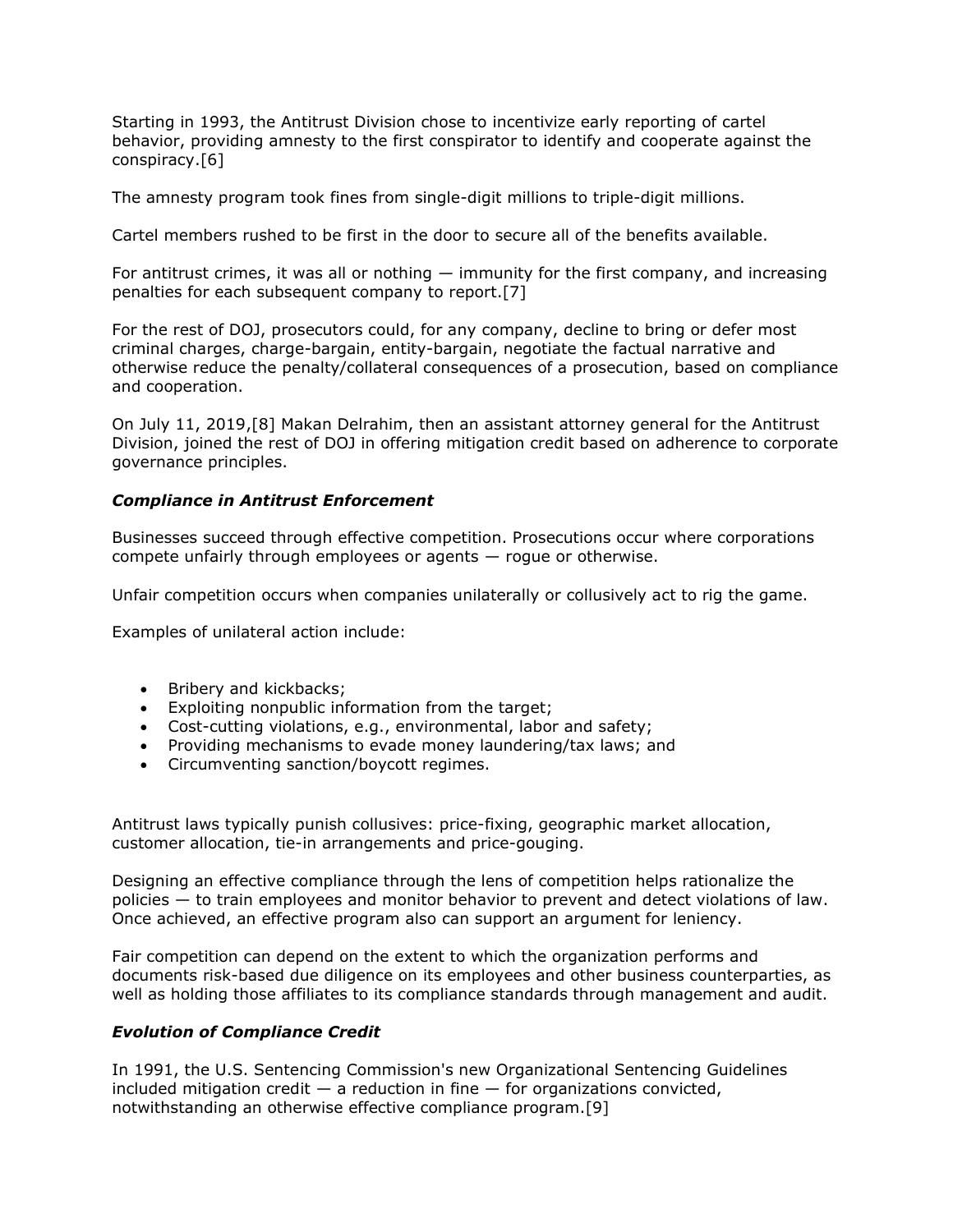Starting in 1993, the Antitrust Division chose to incentivize early reporting of cartel behavior, providing amnesty to the first conspirator to identify and cooperate against the conspiracy.[6]

The amnesty program took fines from single-digit millions to triple-digit millions.

Cartel members rushed to be first in the door to secure all of the benefits available.

For antitrust crimes, it was all or nothing  $-$  immunity for the first company, and increasing penalties for each subsequent company to report.[7]

For the rest of DOJ, prosecutors could, for any company, decline to bring or defer most criminal charges, charge-bargain, entity-bargain, negotiate the factual narrative and otherwise reduce the penalty/collateral consequences of a prosecution, based on compliance and cooperation.

On July 11, 2019,[8] Makan Delrahim, then an assistant attorney general for the Antitrust Division, joined the rest of DOJ in offering mitigation credit based on adherence to corporate governance principles.

#### *Compliance in Antitrust Enforcement*

Businesses succeed through effective competition. Prosecutions occur where corporations compete unfairly through employees or agents — rogue or otherwise.

Unfair competition occurs when companies unilaterally or collusively act to rig the game.

Examples of unilateral action include:

- Bribery and kickbacks;
- Exploiting nonpublic information from the target;
- Cost-cutting violations, e.g., environmental, labor and safety;
- Providing mechanisms to evade money laundering/tax laws; and
- Circumventing sanction/boycott regimes.

Antitrust laws typically punish collusives: price-fixing, geographic market allocation, customer allocation, tie-in arrangements and price-gouging.

Designing an effective compliance through the lens of competition helps rationalize the policies — to train employees and monitor behavior to prevent and detect violations of law. Once achieved, an effective program also can support an argument for leniency.

Fair competition can depend on the extent to which the organization performs and documents risk-based due diligence on its employees and other business counterparties, as well as holding those affiliates to its compliance standards through management and audit.

## *Evolution of Compliance Credit*

In 1991, the [U.S. Sentencing Commission'](https://www.law360.com/agencies/u-s-sentencing-commission)s new Organizational Sentencing Guidelines included mitigation credit  $-$  a reduction in fine  $-$  for organizations convicted, notwithstanding an otherwise effective compliance program.[9]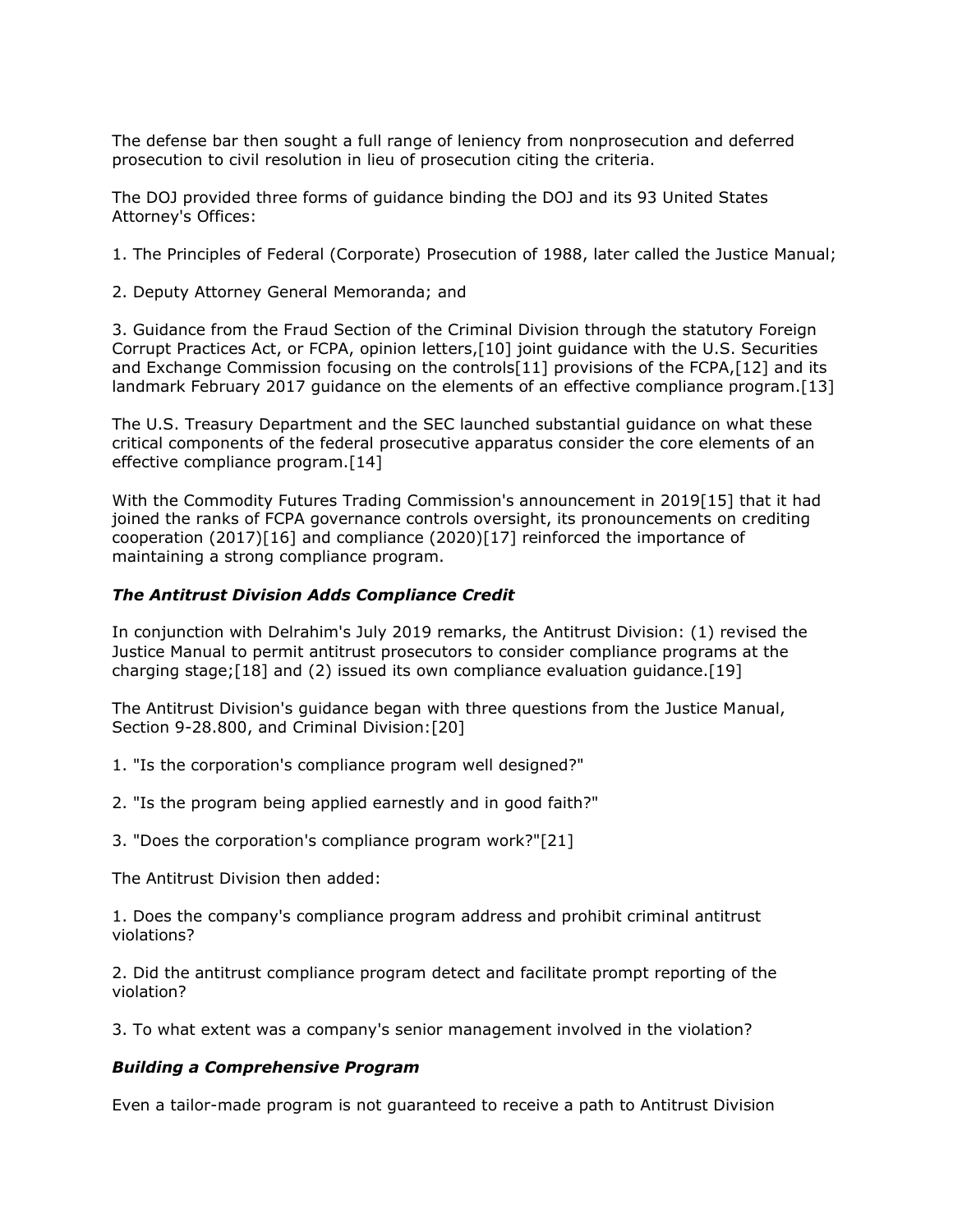The defense bar then sought a full range of leniency from nonprosecution and deferred prosecution to civil resolution in lieu of prosecution citing the criteria.

The DOJ provided three forms of guidance binding the DOJ and its 93 United States Attorney's Offices:

1. The Principles of Federal (Corporate) Prosecution of 1988, later called the Justice Manual;

2. Deputy Attorney General Memoranda; and

3. Guidance from the Fraud Section of the Criminal Division through the statutory Foreign Corrupt Practices Act, or FCPA, opinion letters,[10] joint guidance with the [U.S. Securities](https://www.law360.com/agencies/u-s-securities-and-exchange-commission)  [and Exchange Commission](https://www.law360.com/agencies/u-s-securities-and-exchange-commission) focusing on the controls[11] provisions of the FCPA,[12] and its landmark February 2017 guidance on the elements of an effective compliance program.[13]

The [U.S. Treasury Department](https://www.law360.com/agencies/u-s-department-of-the-treasury) and the SEC launched substantial guidance on what these critical components of the federal prosecutive apparatus consider the core elements of an effective compliance program.[14]

With the Commodity Futures Trading Commission's announcement in 2019[15] that it had joined the ranks of FCPA governance controls oversight, its pronouncements on crediting cooperation (2017)[16] and compliance (2020)[17] reinforced the importance of maintaining a strong compliance program.

## *The Antitrust Division Adds Compliance Credit*

In conjunction with Delrahim's July 2019 remarks, the Antitrust Division: (1) revised the Justice Manual to permit antitrust prosecutors to consider compliance programs at the charging stage;[18] and (2) issued its own compliance evaluation guidance.[19]

The Antitrust Division's guidance began with three questions from the Justice Manual, Section 9-28.800, and Criminal Division:[20]

- 1. "Is the corporation's compliance program well designed?"
- 2. "Is the program being applied earnestly and in good faith?"
- 3. "Does the corporation's compliance program work?"[21]

The Antitrust Division then added:

1. Does the company's compliance program address and prohibit criminal antitrust violations?

2. Did the antitrust compliance program detect and facilitate prompt reporting of the violation?

3. To what extent was a company's senior management involved in the violation?

#### *Building a Comprehensive Program*

Even a tailor-made program is not guaranteed to receive a path to Antitrust Division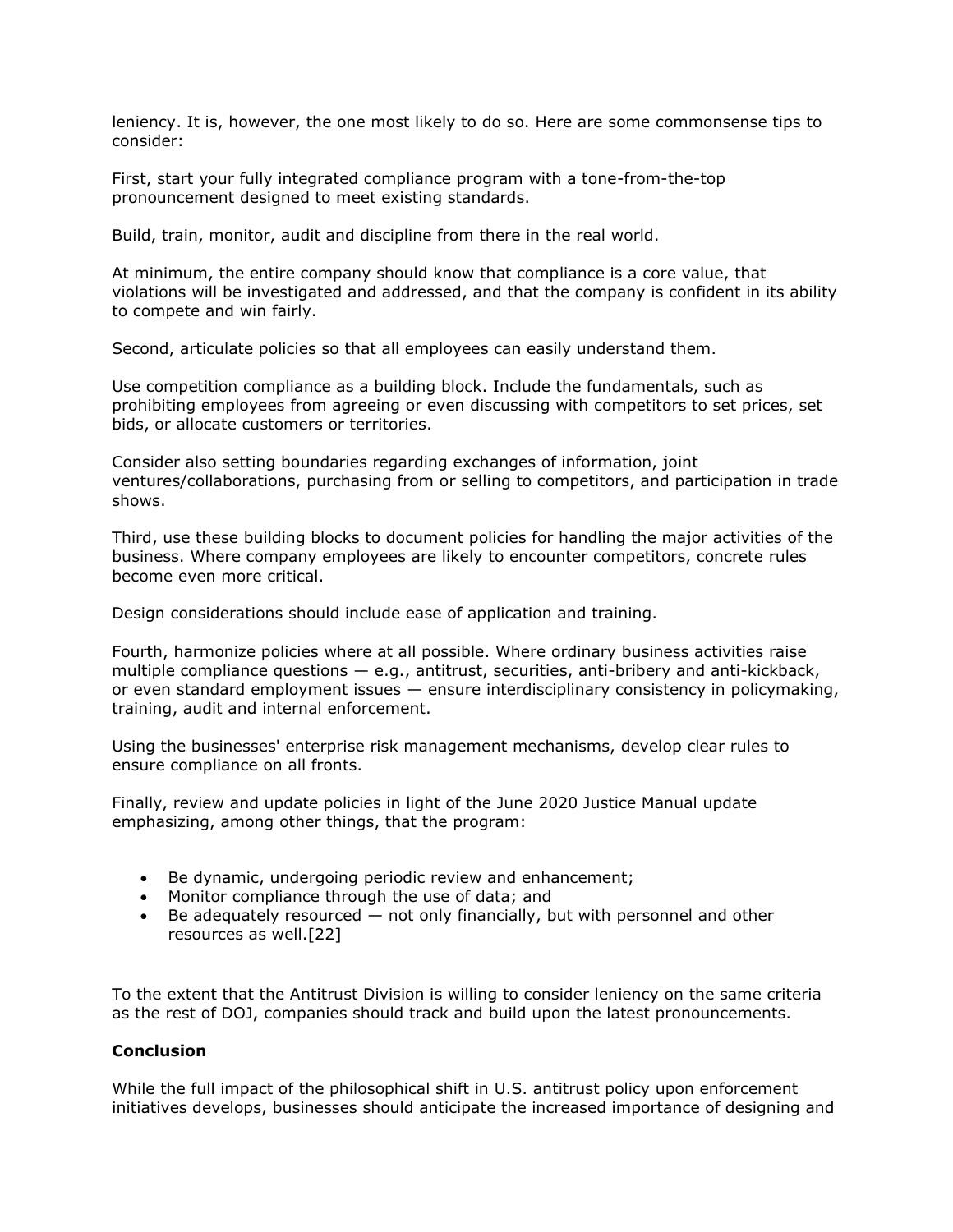leniency. It is, however, the one most likely to do so. Here are some commonsense tips to consider:

First, start your fully integrated compliance program with a tone-from-the-top pronouncement designed to meet existing standards.

Build, train, monitor, audit and discipline from there in the real world.

At minimum, the entire company should know that compliance is a core value, that violations will be investigated and addressed, and that the company is confident in its ability to compete and win fairly.

Second, articulate policies so that all employees can easily understand them.

Use competition compliance as a building block. Include the fundamentals, such as prohibiting employees from agreeing or even discussing with competitors to set prices, set bids, or allocate customers or territories.

Consider also setting boundaries regarding exchanges of information, joint ventures/collaborations, purchasing from or selling to competitors, and participation in trade shows.

Third, use these building blocks to document policies for handling the major activities of the business. Where company employees are likely to encounter competitors, concrete rules become even more critical.

Design considerations should include ease of application and training.

Fourth, harmonize policies where at all possible. Where ordinary business activities raise multiple compliance questions — e.g., antitrust, securities, anti-bribery and anti-kickback, or even standard employment issues — ensure interdisciplinary consistency in policymaking, training, audit and internal enforcement.

Using the businesses' enterprise risk management mechanisms, develop clear rules to ensure compliance on all fronts.

Finally, review and update policies in light of the June 2020 Justice Manual update emphasizing, among other things, that the program:

- Be dynamic, undergoing periodic review and enhancement;
- Monitor compliance through the use of data; and
- Be adequately resourced not only financially, but with personnel and other resources as well.[22]

To the extent that the Antitrust Division is willing to consider leniency on the same criteria as the rest of DOJ, companies should track and build upon the latest pronouncements.

## **Conclusion**

While the full impact of the philosophical shift in U.S. antitrust policy upon enforcement initiatives develops, businesses should anticipate the increased importance of designing and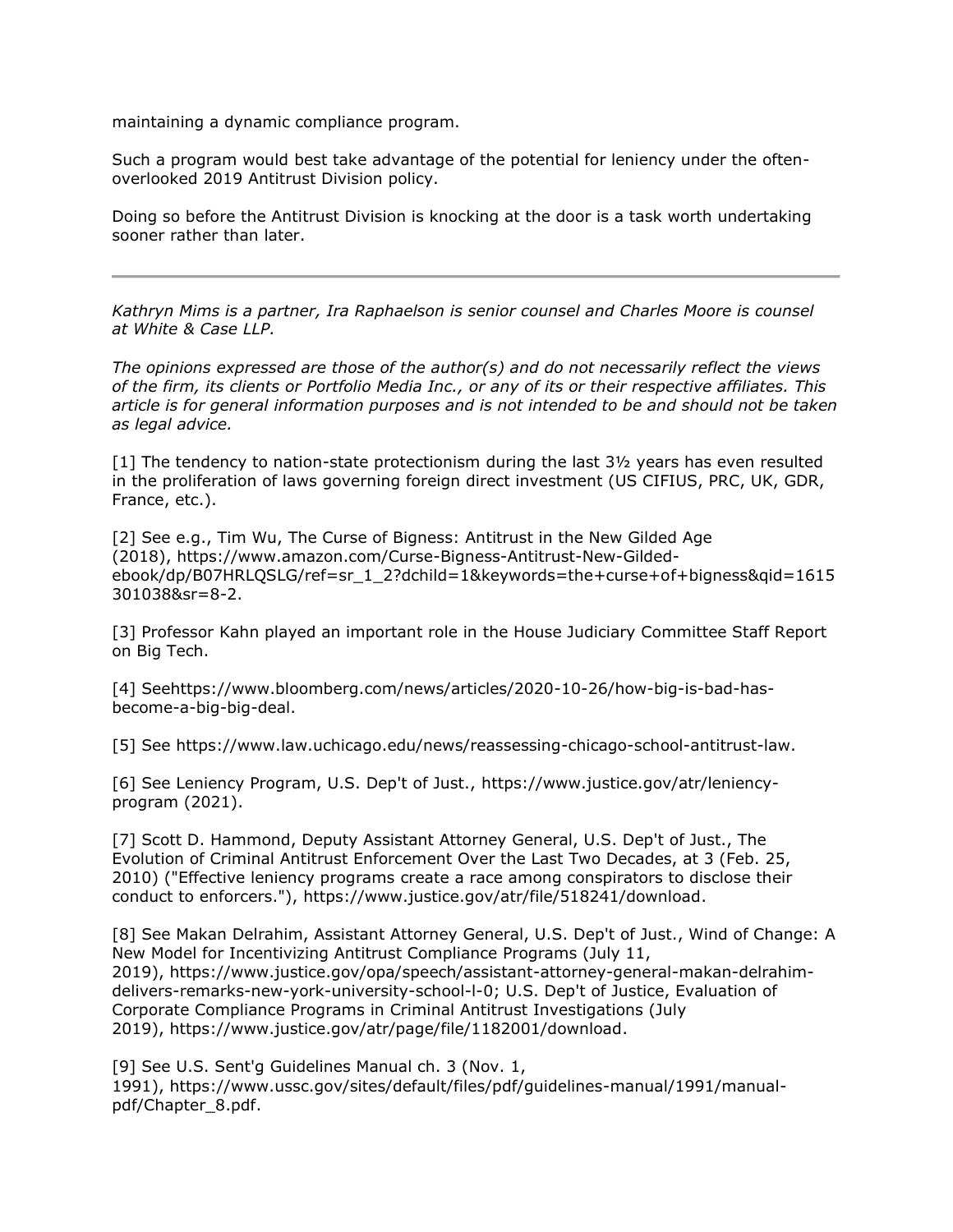maintaining a dynamic compliance program.

Such a program would best take advantage of the potential for leniency under the oftenoverlooked 2019 Antitrust Division policy.

Doing so before the Antitrust Division is knocking at the door is a task worth undertaking sooner rather than later.

*[Kathryn Mims](https://www.whitecase.com/people/kathryn-jordan-mims) is a partner, [Ira Raphaelson](https://www.whitecase.com/people/ira-raphaelson) is senior counsel and [Charles Moore](https://www.whitecase.com/people/charles-moore) is counsel at [White & Case LLP.](https://www.law360.com/firms/white-case)*

*The opinions expressed are those of the author(s) and do not necessarily reflect the views of the firm, its clients or Portfolio Media Inc., or any of its or their respective affiliates. This article is for general information purposes and is not intended to be and should not be taken as legal advice.*

[1] The tendency to nation-state protectionism during the last 3½ years has even resulted in the proliferation of laws governing foreign direct investment (US CIFIUS, PRC, UK, GDR, France, etc.).

[2] See e.g., Tim Wu, The Curse of Bigness: Antitrust in the New Gilded Age (2018), [https://www.amazon.com/Curse-Bigness-Antitrust-New-Gilded](https://www.amazon.com/Curse-Bigness-Antitrust-New-Gilded-ebook/dp/B07HRLQSLG/ref=sr_1_2?dchild=1&keywords=the+curse+of+bigness&qid=1615301038&sr=8-2)[ebook/dp/B07HRLQSLG/ref=sr\\_1\\_2?dchild=1&keywords=the+curse+of+bigness&qid=1615](https://www.amazon.com/Curse-Bigness-Antitrust-New-Gilded-ebook/dp/B07HRLQSLG/ref=sr_1_2?dchild=1&keywords=the+curse+of+bigness&qid=1615301038&sr=8-2) [301038&sr=8-2.](https://www.amazon.com/Curse-Bigness-Antitrust-New-Gilded-ebook/dp/B07HRLQSLG/ref=sr_1_2?dchild=1&keywords=the+curse+of+bigness&qid=1615301038&sr=8-2)

[3] Professor Kahn played an important role in the House Judiciary Committee Staff Report on Big Tech.

[4] Se[ehttps://www.bloomberg.com/news/articles/2020-10-26/how-big-is-bad-has](https://www.bloomberg.com/news/articles/2020-10-26/how-big-is-bad-has-become-a-big-big-deal)[become-a-big-big-deal.](https://www.bloomberg.com/news/articles/2020-10-26/how-big-is-bad-has-become-a-big-big-deal)

[5] See [https://www.law.uchicago.edu/news/reassessing-chicago-school-antitrust-law.](https://www.law.uchicago.edu/news/reassessing-chicago-school-antitrust-law)

[6] See Leniency Program, U.S. Dep't of Just., [https://www.justice.gov/atr/leniency](https://www.justice.gov/atr/leniency-program)[program](https://www.justice.gov/atr/leniency-program) (2021).

[7] Scott D. Hammond, Deputy Assistant Attorney General, U.S. Dep't of Just., The Evolution of Criminal Antitrust Enforcement Over the Last Two Decades, at 3 (Feb. 25, 2010) ("Effective leniency programs create a race among conspirators to disclose their conduct to enforcers."), [https://www.justice.gov/atr/file/518241/download.](https://www.justice.gov/atr/file/518241/download)

[8] See Makan Delrahim, Assistant Attorney General, U.S. Dep't of Just., Wind of Change: A New Model for Incentivizing Antitrust Compliance Programs (July 11, 2019), [https://www.justice.gov/opa/speech/assistant-attorney-general-makan-delrahim](https://www.justice.gov/opa/speech/assistant-attorney-general-makan-delrahim-delivers-remarks-new-york-university-school-l-0)[delivers-remarks-new-york-university-school-l-0;](https://www.justice.gov/opa/speech/assistant-attorney-general-makan-delrahim-delivers-remarks-new-york-university-school-l-0) U.S. Dep't of Justice, Evaluation of Corporate Compliance Programs in Criminal Antitrust Investigations (July 2019), [https://www.justice.gov/atr/page/file/1182001/download.](https://www.justice.gov/atr/page/file/1182001/download)

[9] See U.S. Sent'g Guidelines Manual ch. 3 (Nov. 1, 1991), [https://www.ussc.gov/sites/default/files/pdf/guidelines-manual/1991/manual](https://www.ussc.gov/sites/default/files/pdf/guidelines-manual/1991/manual-pdf/Chapter_8.pdf)[pdf/Chapter\\_8.pdf.](https://www.ussc.gov/sites/default/files/pdf/guidelines-manual/1991/manual-pdf/Chapter_8.pdf)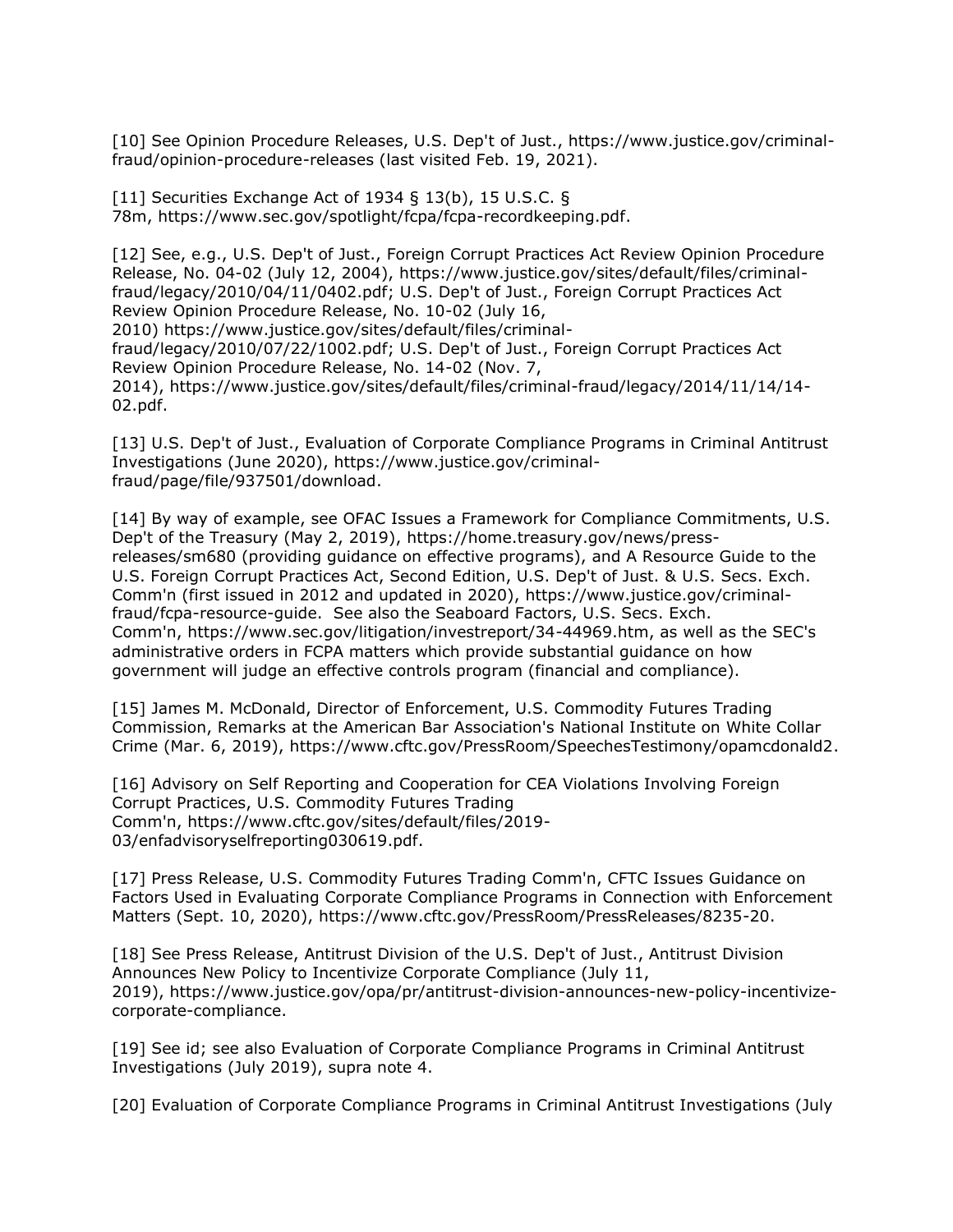[10] See Opinion Procedure Releases, U.S. Dep't of Just., [https://www.justice.gov/criminal](https://www.justice.gov/criminal-fraud/opinion-procedure-releases)[fraud/opinion-procedure-releases](https://www.justice.gov/criminal-fraud/opinion-procedure-releases) (last visited Feb. 19, 2021).

[11] Securities Exchange Act of 1934 § 13(b), 15 U.S.C. § 78m, [https://www.sec.gov/spotlight/fcpa/fcpa-recordkeeping.pdf.](https://www.sec.gov/spotlight/fcpa/fcpa-recordkeeping.pdf)

[12] See, e.g., U.S. Dep't of Just., Foreign Corrupt Practices Act Review Opinion Procedure Release, No. 04-02 (July 12, 2004), [https://www.justice.gov/sites/default/files/criminal](https://www.justice.gov/sites/default/files/criminal-fraud/legacy/2010/04/11/0402.pdf)[fraud/legacy/2010/04/11/0402.pdf;](https://www.justice.gov/sites/default/files/criminal-fraud/legacy/2010/04/11/0402.pdf) U.S. Dep't of Just., Foreign Corrupt Practices Act Review Opinion Procedure Release, No. 10-02 (July 16, 2010) [https://www.justice.gov/sites/default/files/criminal](https://www.justice.gov/sites/default/files/criminal-fraud/legacy/2010/07/22/1002.pdf)[fraud/legacy/2010/07/22/1002.pdf;](https://www.justice.gov/sites/default/files/criminal-fraud/legacy/2010/07/22/1002.pdf) U.S. Dep't of Just., Foreign Corrupt Practices Act Review Opinion Procedure Release, No. 14-02 (Nov. 7, 2014), [https://www.justice.gov/sites/default/files/criminal-fraud/legacy/2014/11/14/14-](https://www.justice.gov/sites/default/files/criminal-fraud/legacy/2014/11/14/14-02.pdf) [02.pdf.](https://www.justice.gov/sites/default/files/criminal-fraud/legacy/2014/11/14/14-02.pdf)

[13] U.S. Dep't of Just., Evaluation of Corporate Compliance Programs in Criminal Antitrust Investigations (June 2020), [https://www.justice.gov/criminal](https://www.justice.gov/criminal-fraud/page/file/937501/download)[fraud/page/file/937501/download.](https://www.justice.gov/criminal-fraud/page/file/937501/download)

[14] By way of example, see OFAC Issues a Framework for Compliance Commitments, U.S. Dep't of the Treasury (May 2, 2019), [https://home.treasury.gov/news/press](https://home.treasury.gov/news/press-releases/sm680)[releases/sm680](https://home.treasury.gov/news/press-releases/sm680) (providing guidance on effective programs), and A Resource Guide to the U.S. Foreign Corrupt Practices Act, Second Edition, U.S. Dep't of Just. & U.S. Secs. Exch. Comm'n (first issued in 2012 and updated in 2020), [https://www.justice.gov/criminal](https://www.justice.gov/criminal-fraud/fcpa-resource-guide)[fraud/fcpa-resource-guide.](https://www.justice.gov/criminal-fraud/fcpa-resource-guide) See also the Seaboard Factors, U.S. Secs. Exch. Comm'n, [https://www.sec.gov/litigation/investreport/34-44969.htm,](https://www.sec.gov/litigation/investreport/34-44969.htm) as well as the SEC's administrative orders in FCPA matters which provide substantial guidance on how government will judge an effective controls program (financial and compliance).

[15] James M. McDonald, Director of Enforcement, [U.S. Commodity Futures Trading](https://www.law360.com/agencies/commodity-futures-trading-commission)  [Commission,](https://www.law360.com/agencies/commodity-futures-trading-commission) Remarks at the [American Bar Association'](https://www.law360.com/companies/american-bar-association)s National Institute on White Collar Crime (Mar. 6, 2019), [https://www.cftc.gov/PressRoom/SpeechesTestimony/opamcdonald2.](https://www.cftc.gov/PressRoom/SpeechesTestimony/opamcdonald2)

[16] Advisory on Self Reporting and Cooperation for CEA Violations Involving Foreign Corrupt Practices, U.S. Commodity Futures Trading Comm'n, [https://www.cftc.gov/sites/default/files/2019-](https://www.cftc.gov/sites/default/files/2019-03/enfadvisoryselfreporting030619.pdf) [03/enfadvisoryselfreporting030619.pdf.](https://www.cftc.gov/sites/default/files/2019-03/enfadvisoryselfreporting030619.pdf)

[17] Press Release, U.S. Commodity Futures Trading Comm'n, CFTC Issues Guidance on Factors Used in Evaluating Corporate Compliance Programs in Connection with Enforcement Matters (Sept. 10, 2020), [https://www.cftc.gov/PressRoom/PressReleases/8235-20.](https://www.cftc.gov/PressRoom/PressReleases/8235-20)

[18] See Press Release, Antitrust Division of the U.S. Dep't of Just., Antitrust Division Announces New Policy to Incentivize Corporate Compliance (July 11, 2019), [https://www.justice.gov/opa/pr/antitrust-division-announces-new-policy-incentivize](https://www.justice.gov/opa/pr/antitrust-division-announces-new-policy-incentivize-corporate-compliance)[corporate-compliance.](https://www.justice.gov/opa/pr/antitrust-division-announces-new-policy-incentivize-corporate-compliance)

[19] See id; see also Evaluation of Corporate Compliance Programs in Criminal Antitrust Investigations (July 2019), supra note 4.

[20] Evaluation of Corporate Compliance Programs in Criminal Antitrust Investigations (July